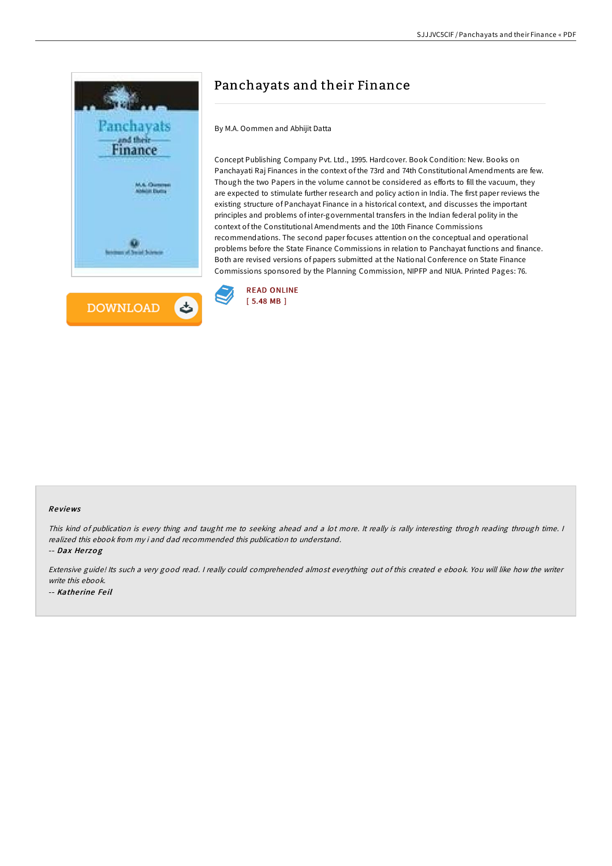



# Panchayats and their Finance

By M.A. Oommen and Abhijit Datta

Concept Publishing Company Pvt. Ltd., 1995. Hardcover. Book Condition: New. Books on Panchayati Raj Finances in the context of the 73rd and 74th Constitutional Amendments are few. Though the two Papers in the volume cannot be considered as efforts to fill the vacuum, they are expected to stimulate further research and policy action in India. The first paper reviews the existing structure of Panchayat Finance in a historical context, and discusses the important principles and problems of inter-governmental transfers in the Indian federal polity in the context of the Constitutional Amendments and the 10th Finance Commissions recommendations. The second paper focuses attention on the conceptual and operational problems before the State Finance Commissions in relation to Panchayat functions and finance. Both are revised versions of papers submitted at the National Conference on State Finance Commissions sponsored by the Planning Commission, NIPFP and NIUA. Printed Pages: 76.



### Re views

This kind of publication is every thing and taught me to seeking ahead and <sup>a</sup> lot more. It really is rally interesting throgh reading through time. <sup>I</sup> realized this ebook from my i and dad recommended this publication to understand.

-- Dax Herzog

Extensive guide! Its such a very good read. I really could comprehended almost everything out of this created e ebook. You will like how the writer write this ebook. -- Katherine Feil